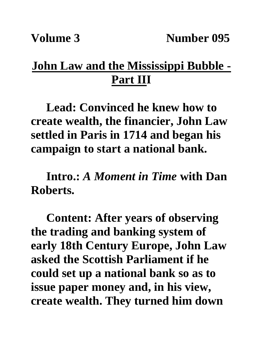## **John Law and the Mississippi Bubble - Part III**

**Lead: Convinced he knew how to create wealth, the financier, John Law settled in Paris in 1714 and began his campaign to start a national bank.**

**Intro.:** *A Moment in Time* **with Dan Roberts.**

**Content: After years of observing the trading and banking system of early 18th Century Europe, John Law asked the Scottish Parliament if he could set up a national bank so as to issue paper money and, in his view, create wealth. They turned him down**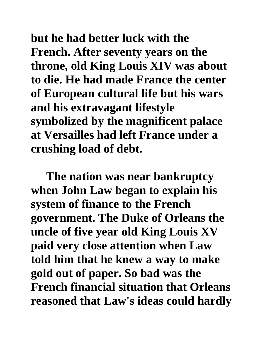**but he had better luck with the French. After seventy years on the throne, old King Louis XIV was about to die. He had made France the center of European cultural life but his wars and his extravagant lifestyle symbolized by the magnificent palace at Versailles had left France under a crushing load of debt.** 

**The nation was near bankruptcy when John Law began to explain his system of finance to the French government. The Duke of Orleans the uncle of five year old King Louis XV paid very close attention when Law told him that he knew a way to make gold out of paper. So bad was the French financial situation that Orleans reasoned that Law's ideas could hardly**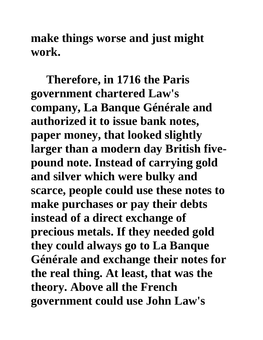**make things worse and just might work.**

**Therefore, in 1716 the Paris government chartered Law's company, La Banque Générale and authorized it to issue bank notes, paper money, that looked slightly larger than a modern day British fivepound note. Instead of carrying gold and silver which were bulky and scarce, people could use these notes to make purchases or pay their debts instead of a direct exchange of precious metals. If they needed gold they could always go to La Banque Générale and exchange their notes for the real thing. At least, that was the theory. Above all the French government could use John Law's**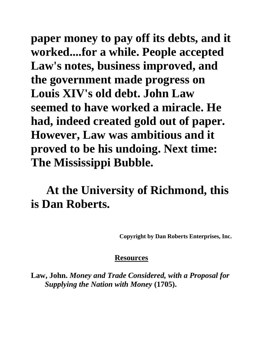**paper money to pay off its debts, and it worked....for a while. People accepted Law's notes, business improved, and the government made progress on Louis XIV's old debt. John Law seemed to have worked a miracle. He had, indeed created gold out of paper. However, Law was ambitious and it proved to be his undoing. Next time: The Mississippi Bubble.**

## **At the University of Richmond, this is Dan Roberts.**

**Copyright by Dan Roberts Enterprises, Inc.**

## **Resources**

**Law, John.** *Money and Trade Considered, with a Proposal for Supplying the Nation with Money* **(1705).**